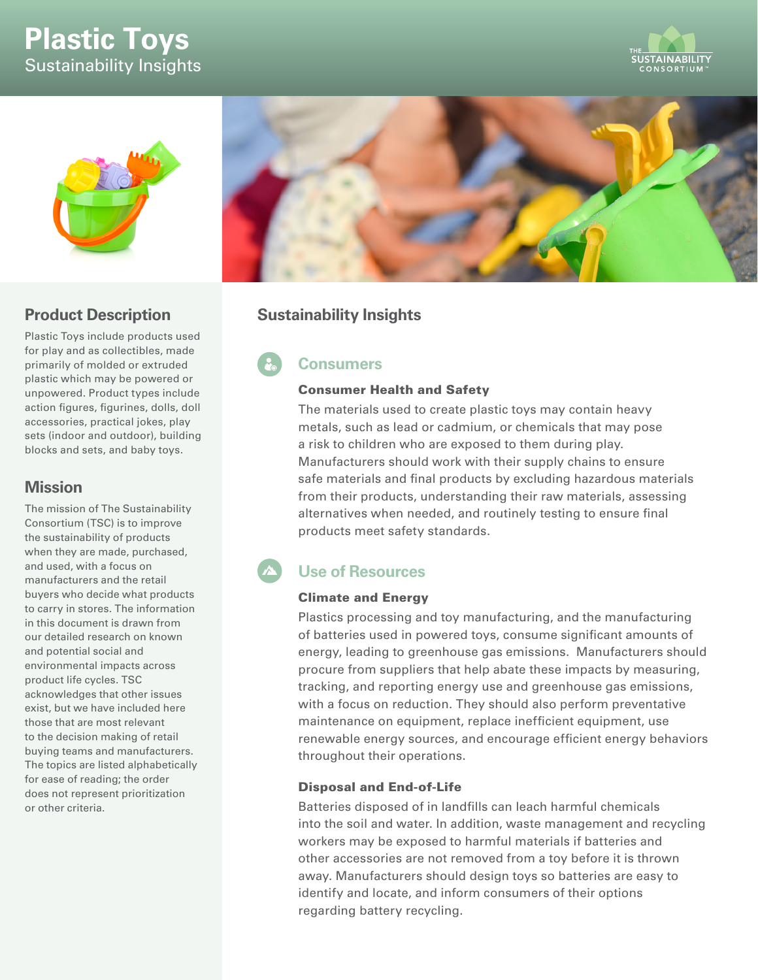# **Plastic Toys** Sustainability Insights





## **Product Description**

Plastic Toys include products used for play and as collectibles, made primarily of molded or extruded plastic which may be powered or unpowered. Product types include action figures, figurines, dolls, doll accessories, practical jokes, play sets (indoor and outdoor), building blocks and sets, and baby toys.

### **Mission**

The mission of The Sustainability Consortium (TSC) is to improve the sustainability of products when they are made, purchased, and used, with a focus on manufacturers and the retail buyers who decide what products to carry in stores. The information in this document is drawn from our detailed research on known and potential social and environmental impacts across product life cycles. TSC acknowledges that other issues exist, but we have included here those that are most relevant to the decision making of retail buying teams and manufacturers. The topics are listed alphabetically for ease of reading; the order does not represent prioritization or other criteria.



# **Sustainability Insights**

# **Consumers**

### Consumer Health and Safety

The materials used to create plastic toys may contain heavy metals, such as lead or cadmium, or chemicals that may pose a risk to children who are exposed to them during play. Manufacturers should work with their supply chains to ensure safe materials and final products by excluding hazardous materials from their products, understanding their raw materials, assessing alternatives when needed, and routinely testing to ensure final products meet safety standards.

# **Use of Resources**

### Climate and Energy

Plastics processing and toy manufacturing, and the manufacturing of batteries used in powered toys, consume significant amounts of energy, leading to greenhouse gas emissions. Manufacturers should procure from suppliers that help abate these impacts by measuring, tracking, and reporting energy use and greenhouse gas emissions, with a focus on reduction. They should also perform preventative maintenance on equipment, replace inefficient equipment, use renewable energy sources, and encourage efficient energy behaviors throughout their operations.

### Disposal and End-of-Life

Batteries disposed of in landfills can leach harmful chemicals into the soil and water. In addition, waste management and recycling workers may be exposed to harmful materials if batteries and other accessories are not removed from a toy before it is thrown away. Manufacturers should design toys so batteries are easy to identify and locate, and inform consumers of their options regarding battery recycling.